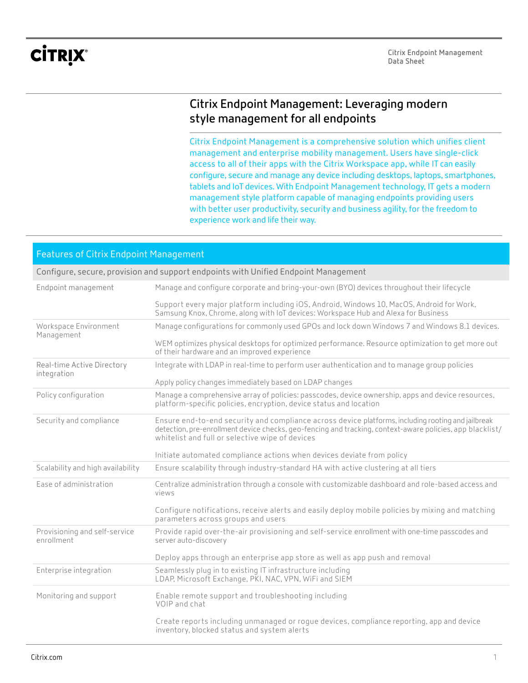# **CİTRIX®**

## **Citrix Endpoint Management: Leveraging modern style management for all endpoints**

Citrix Endpoint Management is a comprehensive solution which unifies client management and enterprise mobility management. Users have single-click access to all of their apps with the Citrix Workspace app, while IT can easily configure, secure and manage any device including desktops, laptops, smartphones, tablets and IoT devices. With Endpoint Management technology, IT gets a modern management style platform capable of managing endpoints providing users with better user productivity, security and business agility, for the freedom to experience work and life their way.

### Features of Citrix Endpoint Management

|  |  |  | Configure, secure, provision and support endpoints with Unified Endpoint Management |
|--|--|--|-------------------------------------------------------------------------------------|
|--|--|--|-------------------------------------------------------------------------------------|

| Endpoint management                         | Manage and configure corporate and bring-your-own (BYO) devices throughout their lifecycle                                                                                                                                                                         |
|---------------------------------------------|--------------------------------------------------------------------------------------------------------------------------------------------------------------------------------------------------------------------------------------------------------------------|
|                                             | Support every major platform including iOS, Android, Windows 10, MacOS, Android for Work,<br>Samsung Knox, Chrome, along with IoT devices: Workspace Hub and Alexa for Business                                                                                    |
| Workspace Environment<br>Management         | Manage configurations for commonly used GPOs and lock down Windows 7 and Windows 8.1 devices.                                                                                                                                                                      |
|                                             | WEM optimizes physical desktops for optimized performance. Resource optimization to get more out<br>of their hardware and an improved experience                                                                                                                   |
| Real-time Active Directory<br>integration   | Integrate with LDAP in real-time to perform user authentication and to manage group policies                                                                                                                                                                       |
|                                             | Apply policy changes immediately based on LDAP changes                                                                                                                                                                                                             |
| Policy configuration                        | Manage a comprehensive array of policies: passcodes, device ownership, apps and device resources,<br>platform-specific policies, encryption, device status and location                                                                                            |
| Security and compliance                     | Ensure end-to-end security and compliance across device platforms, including rooting and jailbreak<br>detection, pre-enrollment device checks, geo-fencing and tracking, context-aware policies, app blacklist/<br>whitelist and full or selective wipe of devices |
|                                             | Initiate automated compliance actions when devices deviate from policy                                                                                                                                                                                             |
| Scalability and high availability           | Ensure scalability through industry-standard HA with active clustering at all tiers                                                                                                                                                                                |
| Ease of administration                      | Centralize administration through a console with customizable dashboard and role-based access and<br>views                                                                                                                                                         |
|                                             | Configure notifications, receive alerts and easily deploy mobile policies by mixing and matching<br>parameters across groups and users                                                                                                                             |
| Provisioning and self-service<br>enrollment | Provide rapid over-the-air provisioning and self-service enrollment with one-time passcodes and<br>server auto-discovery                                                                                                                                           |
|                                             | Deploy apps through an enterprise app store as well as app push and removal                                                                                                                                                                                        |
| Enterprise integration                      | Seamlessly plug in to existing IT infrastructure including<br>LDAP, Microsoft Exchange, PKI, NAC, VPN, WiFi and SIEM                                                                                                                                               |
| Monitoring and support                      | Enable remote support and troubleshooting including<br>VOIP and chat                                                                                                                                                                                               |
|                                             | Create reports including unmanaged or rogue devices, compliance reporting, app and device<br>inventory, blocked status and system alerts                                                                                                                           |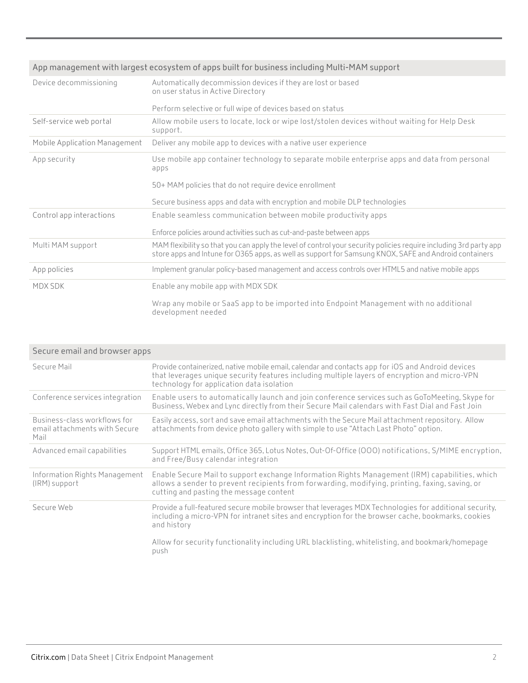| App management with largest ecosystem of apps built for business including Multi-MAM support |                                                                                                                                                                                                                            |  |
|----------------------------------------------------------------------------------------------|----------------------------------------------------------------------------------------------------------------------------------------------------------------------------------------------------------------------------|--|
| Device decommissioning                                                                       | Automatically decommission devices if they are lost or based<br>on user status in Active Directory                                                                                                                         |  |
|                                                                                              | Perform selective or full wipe of devices based on status                                                                                                                                                                  |  |
| Self-service web portal                                                                      | Allow mobile users to locate, lock or wipe lost/stolen devices without waiting for Help Desk<br>support.                                                                                                                   |  |
| Mobile Application Management                                                                | Deliver any mobile app to devices with a native user experience                                                                                                                                                            |  |
| App security                                                                                 | Use mobile app container technology to separate mobile enterprise apps and data from personal<br>apps                                                                                                                      |  |
|                                                                                              | 50+ MAM policies that do not require device enrollment                                                                                                                                                                     |  |
|                                                                                              | Secure business apps and data with encryption and mobile DLP technologies                                                                                                                                                  |  |
| Control app interactions                                                                     | Enable seamless communication between mobile productivity apps                                                                                                                                                             |  |
|                                                                                              | Enforce policies around activities such as cut-and-paste between apps                                                                                                                                                      |  |
| Multi MAM support                                                                            | MAM flexibility so that you can apply the level of control your security policies require including 3rd party app<br>store apps and Intune for O365 apps, as well as support for Samsung KNOX, SAFE and Android containers |  |
| App policies                                                                                 | Implement granular policy-based management and access controls over HTML5 and native mobile apps                                                                                                                           |  |
| MDX SDK                                                                                      | Enable any mobile app with MDX SDK                                                                                                                                                                                         |  |
|                                                                                              | Wrap any mobile or SaaS app to be imported into Endpoint Management with no additional<br>development needed                                                                                                               |  |

| Secure email and browser apps                                         |                                                                                                                                                                                                                                                 |
|-----------------------------------------------------------------------|-------------------------------------------------------------------------------------------------------------------------------------------------------------------------------------------------------------------------------------------------|
| Secure Mail                                                           | Provide containerized, native mobile email, calendar and contacts app for iOS and Android devices<br>that leverages unique security features including multiple layers of encryption and micro-VPN<br>technology for application data isolation |
| Conference services integration                                       | Enable users to automatically launch and join conference services such as GoToMeeting, Skype for<br>Business, Webex and Lync directly from their Secure Mail calendars with Fast Dial and Fast Join                                             |
| Business-class workflows for<br>email attachments with Secure<br>Mail | Easily access, sort and save email attachments with the Secure Mail attachment repository. Allow<br>attachments from device photo gallery with simple to use "Attach Last Photo" option.                                                        |
| Advanced email capabilities                                           | Support HTML emails, Office 365, Lotus Notes, Out-Of-Office (OOO) notifications, S/MIME encryption,<br>and Free/Busy calendar integration                                                                                                       |
| Information Rights Management<br>(IRM) support                        | Enable Secure Mail to support exchange Information Rights Management (IRM) capabilities, which<br>allows a sender to prevent recipients from forwarding, modifying, printing, faxing, saving, or<br>cutting and pasting the message content     |
| Secure Web                                                            | Provide a full-featured secure mobile browser that leverages MDX Technologies for additional security,<br>including a micro-VPN for intranet sites and encryption for the browser cache, bookmarks, cookies<br>and history                      |
|                                                                       | Allow for security functionality including URL blacklisting, whitelisting, and bookmark/homepage<br>push                                                                                                                                        |